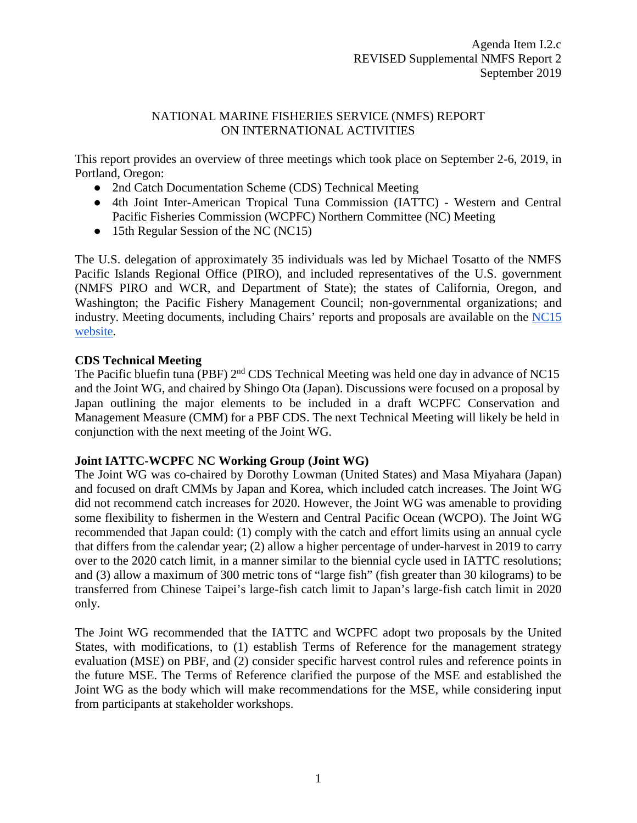## NATIONAL MARINE FISHERIES SERVICE (NMFS) REPORT ON INTERNATIONAL ACTIVITIES

This report provides an overview of three meetings which took place on September 2-6, 2019, in Portland, Oregon:

- 2nd Catch Documentation Scheme (CDS) Technical Meeting
- 4th Joint Inter-American Tropical Tuna Commission (IATTC) Western and Central Pacific Fisheries Commission (WCPFC) Northern Committee (NC) Meeting
- 15th Regular Session of the NC (NC15)

The U.S. delegation of approximately 35 individuals was led by Michael Tosatto of the NMFS Pacific Islands Regional Office (PIRO), and included representatives of the U.S. government (NMFS PIRO and WCR, and Department of State); the states of California, Oregon, and Washington; the Pacific Fishery Management Council; non-governmental organizations; and industry. Meeting documents, including Chairs' reports and proposals are available on the [NC15](https://www.wcpfc.int/meetings/nc15)  [website.](https://www.wcpfc.int/meetings/nc15)

## **CDS Technical Meeting**

The Pacific bluefin tuna (PBF) 2<sup>nd</sup> CDS Technical Meeting was held one day in advance of NC15 and the Joint WG, and chaired by Shingo Ota (Japan). Discussions were focused on a proposal by Japan outlining the major elements to be included in a draft WCPFC Conservation and Management Measure (CMM) for a PBF CDS. The next Technical Meeting will likely be held in conjunction with the next meeting of the Joint WG.

## **Joint IATTC-WCPFC NC Working Group (Joint WG)**

The Joint WG was co-chaired by Dorothy Lowman (United States) and Masa Miyahara (Japan) and focused on draft CMMs by Japan and Korea, which included catch increases. The Joint WG did not recommend catch increases for 2020. However, the Joint WG was amenable to providing some flexibility to fishermen in the Western and Central Pacific Ocean (WCPO). The Joint WG recommended that Japan could: (1) comply with the catch and effort limits using an annual cycle that differs from the calendar year; (2) allow a higher percentage of under-harvest in 2019 to carry over to the 2020 catch limit, in a manner similar to the biennial cycle used in IATTC resolutions; and (3) allow a maximum of 300 metric tons of "large fish" (fish greater than 30 kilograms) to be transferred from Chinese Taipei's large-fish catch limit to Japan's large-fish catch limit in 2020 only.

The Joint WG recommended that the IATTC and WCPFC adopt two proposals by the United States, with modifications, to (1) establish Terms of Reference for the management strategy evaluation (MSE) on PBF, and (2) consider specific harvest control rules and reference points in the future MSE. The Terms of Reference clarified the purpose of the MSE and established the Joint WG as the body which will make recommendations for the MSE, while considering input from participants at stakeholder workshops.